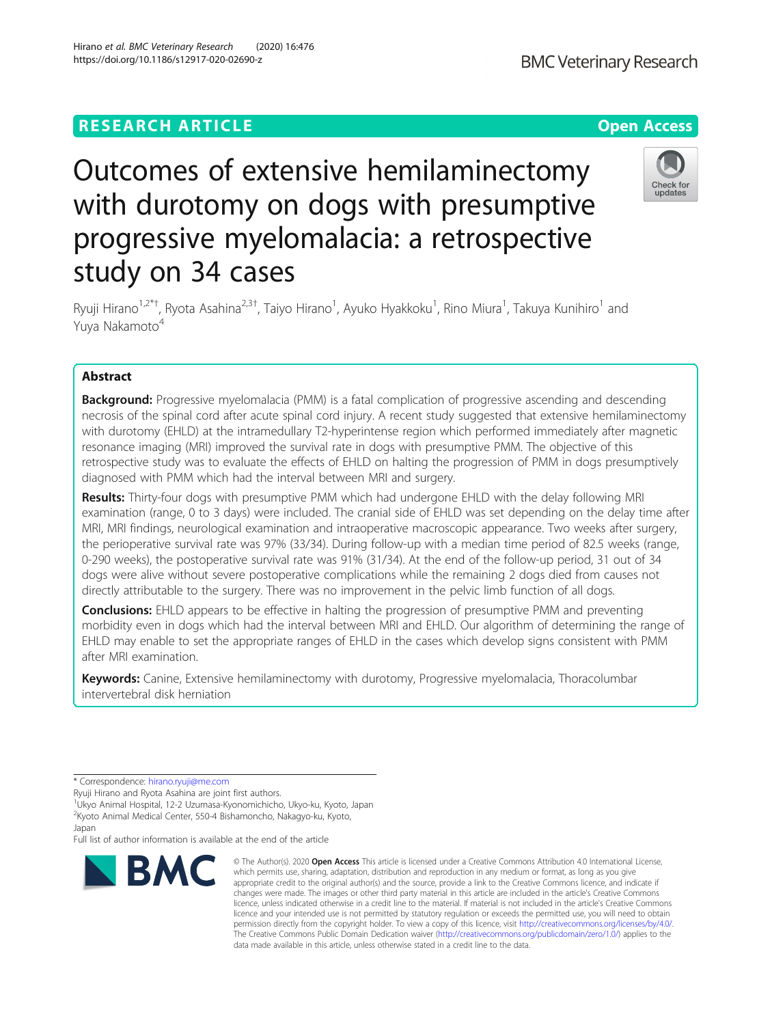# **RESEARCH ARTICLE Example 2014 12:30 The Contract of Contract ACCESS**

# Outcomes of extensive hemilaminectomy with durotomy on dogs with presumptive progressive myelomalacia: a retrospective study on 34 cases

Ryuji Hirano<sup>1,2\*†</sup>, Ryota Asahina<sup>2,3†</sup>, Taiyo Hirano<sup>1</sup>, Ayuko Hyakkoku<sup>1</sup>, Rino Miura<sup>1</sup>, Takuya Kunihiro<sup>1</sup> and Yuva Nakamoto<sup>4</sup>

# Abstract

**Background:** Progressive myelomalacia (PMM) is a fatal complication of progressive ascending and descending necrosis of the spinal cord after acute spinal cord injury. A recent study suggested that extensive hemilaminectomy with durotomy (EHLD) at the intramedullary T2-hyperintense region which performed immediately after magnetic resonance imaging (MRI) improved the survival rate in dogs with presumptive PMM. The objective of this retrospective study was to evaluate the effects of EHLD on halting the progression of PMM in dogs presumptively diagnosed with PMM which had the interval between MRI and surgery.

Results: Thirty-four dogs with presumptive PMM which had undergone EHLD with the delay following MRI examination (range, 0 to 3 days) were included. The cranial side of EHLD was set depending on the delay time after MRI, MRI findings, neurological examination and intraoperative macroscopic appearance. Two weeks after surgery, the perioperative survival rate was 97% (33/34). During follow-up with a median time period of 82.5 weeks (range, 0-290 weeks), the postoperative survival rate was 91% (31/34). At the end of the follow-up period, 31 out of 34 dogs were alive without severe postoperative complications while the remaining 2 dogs died from causes not directly attributable to the surgery. There was no improvement in the pelvic limb function of all dogs.

**Conclusions:** EHLD appears to be effective in halting the progression of presumptive PMM and preventing morbidity even in dogs which had the interval between MRI and EHLD. Our algorithm of determining the range of EHLD may enable to set the appropriate ranges of EHLD in the cases which develop signs consistent with PMM after MRI examination.

Keywords: Canine, Extensive hemilaminectomy with durotomy, Progressive myelomalacia, Thoracolumbar intervertebral disk herniation

\* Correspondence: [hirano.ryuji@me.com](mailto:hirano.ryuji@me.com)

<sup>1</sup>Ukyo Animal Hospital, 12-2 Uzumasa-Kyonomichicho, Ukyo-ku, Kyoto, Japan 2 Kyoto Animal Medical Center, 550-4 Bishamoncho, Nakagyo-ku, Kyoto, Japan

Full list of author information is available at the end of the article



© The Author(s), 2020 **Open Access** This article is licensed under a Creative Commons Attribution 4.0 International License, which permits use, sharing, adaptation, distribution and reproduction in any medium or format, as long as you give appropriate credit to the original author(s) and the source, provide a link to the Creative Commons licence, and indicate if changes were made. The images or other third party material in this article are included in the article's Creative Commons licence, unless indicated otherwise in a credit line to the material. If material is not included in the article's Creative Commons licence and your intended use is not permitted by statutory regulation or exceeds the permitted use, you will need to obtain permission directly from the copyright holder. To view a copy of this licence, visit [http://creativecommons.org/licenses/by/4.0/.](http://creativecommons.org/licenses/by/4.0/) The Creative Commons Public Domain Dedication waiver [\(http://creativecommons.org/publicdomain/zero/1.0/](http://creativecommons.org/publicdomain/zero/1.0/)) applies to the data made available in this article, unless otherwise stated in a credit line to the data.





Ryuji Hirano and Ryota Asahina are joint first authors.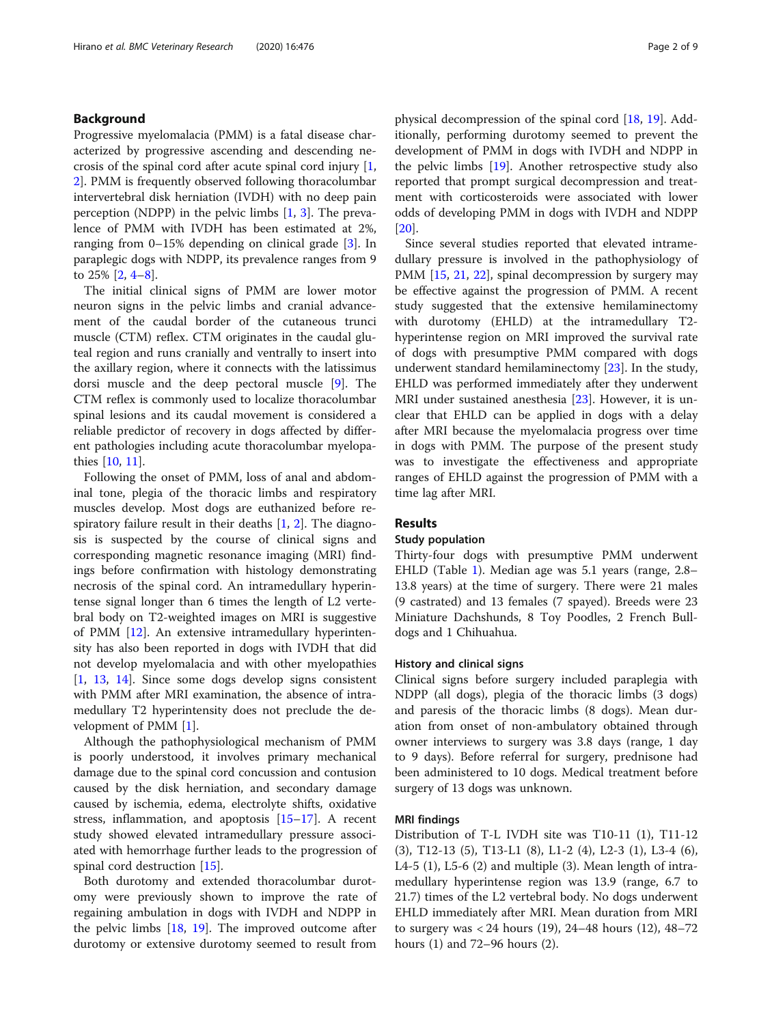# Background

Progressive myelomalacia (PMM) is a fatal disease characterized by progressive ascending and descending necrosis of the spinal cord after acute spinal cord injury [\[1](#page-8-0), [2\]](#page-8-0). PMM is frequently observed following thoracolumbar intervertebral disk herniation (IVDH) with no deep pain perception (NDPP) in the pelvic limbs [\[1](#page-8-0), [3\]](#page-8-0). The prevalence of PMM with IVDH has been estimated at 2%, ranging from 0–15% depending on clinical grade [[3\]](#page-8-0). In paraplegic dogs with NDPP, its prevalence ranges from 9 to 25% [[2,](#page-8-0) [4](#page-8-0)–[8](#page-8-0)].

The initial clinical signs of PMM are lower motor neuron signs in the pelvic limbs and cranial advancement of the caudal border of the cutaneous trunci muscle (CTM) reflex. CTM originates in the caudal gluteal region and runs cranially and ventrally to insert into the axillary region, where it connects with the latissimus dorsi muscle and the deep pectoral muscle [\[9](#page-8-0)]. The CTM reflex is commonly used to localize thoracolumbar spinal lesions and its caudal movement is considered a reliable predictor of recovery in dogs affected by different pathologies including acute thoracolumbar myelopathies [\[10,](#page-8-0) [11\]](#page-8-0).

Following the onset of PMM, loss of anal and abdominal tone, plegia of the thoracic limbs and respiratory muscles develop. Most dogs are euthanized before respiratory failure result in their deaths  $[1, 2]$  $[1, 2]$  $[1, 2]$  $[1, 2]$ . The diagnosis is suspected by the course of clinical signs and corresponding magnetic resonance imaging (MRI) findings before confirmation with histology demonstrating necrosis of the spinal cord. An intramedullary hyperintense signal longer than 6 times the length of L2 vertebral body on T2-weighted images on MRI is suggestive of PMM [\[12](#page-8-0)]. An extensive intramedullary hyperintensity has also been reported in dogs with IVDH that did not develop myelomalacia and with other myelopathies [[1,](#page-8-0) [13,](#page-8-0) [14](#page-8-0)]. Since some dogs develop signs consistent with PMM after MRI examination, the absence of intramedullary T2 hyperintensity does not preclude the development of PMM [\[1](#page-8-0)].

Although the pathophysiological mechanism of PMM is poorly understood, it involves primary mechanical damage due to the spinal cord concussion and contusion caused by the disk herniation, and secondary damage caused by ischemia, edema, electrolyte shifts, oxidative stress, inflammation, and apoptosis [\[15](#page-8-0)–[17](#page-8-0)]. A recent study showed elevated intramedullary pressure associated with hemorrhage further leads to the progression of spinal cord destruction [\[15](#page-8-0)].

Both durotomy and extended thoracolumbar durotomy were previously shown to improve the rate of regaining ambulation in dogs with IVDH and NDPP in the pelvic limbs [[18,](#page-8-0) [19](#page-8-0)]. The improved outcome after durotomy or extensive durotomy seemed to result from physical decompression of the spinal cord [\[18,](#page-8-0) [19](#page-8-0)]. Additionally, performing durotomy seemed to prevent the development of PMM in dogs with IVDH and NDPP in the pelvic limbs [[19](#page-8-0)]. Another retrospective study also reported that prompt surgical decompression and treatment with corticosteroids were associated with lower odds of developing PMM in dogs with IVDH and NDPP [[20\]](#page-8-0).

Since several studies reported that elevated intramedullary pressure is involved in the pathophysiology of PMM [[15,](#page-8-0) [21,](#page-8-0) [22](#page-8-0)], spinal decompression by surgery may be effective against the progression of PMM. A recent study suggested that the extensive hemilaminectomy with durotomy (EHLD) at the intramedullary T2 hyperintense region on MRI improved the survival rate of dogs with presumptive PMM compared with dogs underwent standard hemilaminectomy [\[23\]](#page-8-0). In the study, EHLD was performed immediately after they underwent MRI under sustained anesthesia [\[23\]](#page-8-0). However, it is unclear that EHLD can be applied in dogs with a delay after MRI because the myelomalacia progress over time in dogs with PMM. The purpose of the present study was to investigate the effectiveness and appropriate ranges of EHLD against the progression of PMM with a time lag after MRI.

#### Results

# Study population

Thirty-four dogs with presumptive PMM underwent EHLD (Table [1](#page-2-0)). Median age was 5.1 years (range, 2.8– 13.8 years) at the time of surgery. There were 21 males (9 castrated) and 13 females (7 spayed). Breeds were 23 Miniature Dachshunds, 8 Toy Poodles, 2 French Bulldogs and 1 Chihuahua.

# History and clinical signs

Clinical signs before surgery included paraplegia with NDPP (all dogs), plegia of the thoracic limbs (3 dogs) and paresis of the thoracic limbs (8 dogs). Mean duration from onset of non-ambulatory obtained through owner interviews to surgery was 3.8 days (range, 1 day to 9 days). Before referral for surgery, prednisone had been administered to 10 dogs. Medical treatment before surgery of 13 dogs was unknown.

#### MRI findings

Distribution of T-L IVDH site was T10-11 (1), T11-12 (3), T12-13 (5), T13-L1 (8), L1-2 (4), L2-3 (1), L3-4 (6), L4-5 (1), L5-6 (2) and multiple (3). Mean length of intramedullary hyperintense region was 13.9 (range, 6.7 to 21.7) times of the L2 vertebral body. No dogs underwent EHLD immediately after MRI. Mean duration from MRI to surgery was < 24 hours (19), 24–48 hours (12), 48–72 hours (1) and 72–96 hours (2).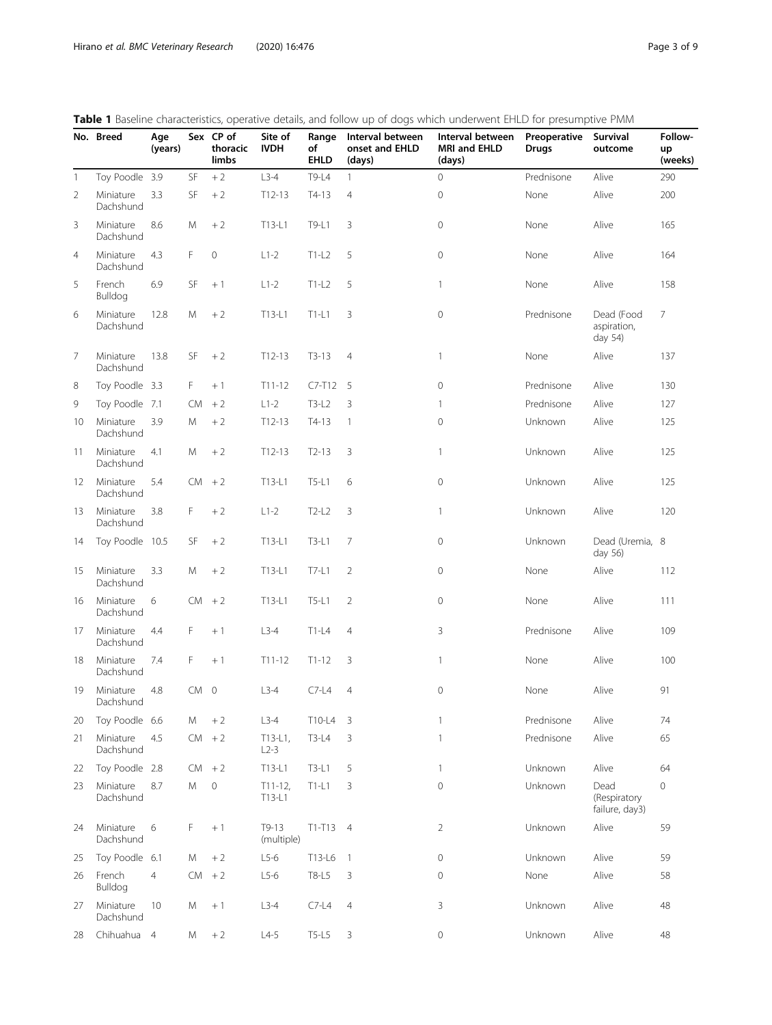<span id="page-2-0"></span>

|  | <b>Table 1</b> Baseline characteristics, operative details, and follow up of dogs which underwent EHLD for presumptive PMM |  |  |  |  |  |  |
|--|----------------------------------------------------------------------------------------------------------------------------|--|--|--|--|--|--|
|  |                                                                                                                            |  |  |  |  |  |  |

|                   | No. Breed              | Age<br>(years) |                 | Sex CP of<br>thoracic<br>limbs | Site of<br><b>IVDH</b> | of<br><b>EHLD</b> | <b>WELL</b> Basemic characteristics, operative actual, and follow up or uogs which underwent Enter for presumptive invitri<br>Range Interval between<br>onset and EHLD<br>(days) | Interval between<br>MRI and EHLD<br>(days) | Preoperative<br><b>Drugs</b> | Survival<br>outcome                    | Follow-<br>up<br>(weeks) |
|-------------------|------------------------|----------------|-----------------|--------------------------------|------------------------|-------------------|----------------------------------------------------------------------------------------------------------------------------------------------------------------------------------|--------------------------------------------|------------------------------|----------------------------------------|--------------------------|
| $\mathbf{1}$      | Toy Poodle 3.9         |                | SF              | $+2$                           | $L3-4$                 | T9-L4             | $\mathbf{1}$                                                                                                                                                                     | $\circ$                                    | Prednisone                   | Alive                                  | 290                      |
| $\overline{2}$    | Miniature<br>Dachshund | 3.3            | SF              | $+2$                           | $T12-13$               | $T4-13$           | $\overline{4}$                                                                                                                                                                   | $\mathbf 0$                                | None                         | Alive                                  | 200                      |
| 3                 | Miniature<br>Dachshund | 8.6            | M               | $+2$                           | $T13-L1$               | T9-L1             | 3                                                                                                                                                                                | $\circ$                                    | None                         | Alive                                  | 165                      |
| $\overline{4}$    | Miniature<br>Dachshund | 4.3            | F.              | $\mathbf 0$                    | $L1-2$                 | $T1-L2$           | 5                                                                                                                                                                                | $\mathbf 0$                                | None                         | Alive                                  | 164                      |
| 5                 | French<br>Bulldog      | 6.9            | SF              | $+1$                           | $L1-2$                 | $T1-L2$           | 5                                                                                                                                                                                | $\mathbf{1}$                               | None                         | Alive                                  | 158                      |
| 6                 | Miniature<br>Dachshund | 12.8           | M               | $+2$                           | $T13-L1$               | $T1-L1$           | 3                                                                                                                                                                                | $\mathbf 0$                                | Prednisone                   | Dead (Food<br>aspiration,<br>day 54)   | $7^{\circ}$              |
| 7                 | Miniature<br>Dachshund | 13.8           | SF              | $+2$                           | $T12-13$               | $T3-13$           | $\overline{4}$                                                                                                                                                                   | $\mathbf{1}$                               | None                         | Alive                                  | 137                      |
| 8                 | Toy Poodle 3.3         |                | F.              | $+1$                           | $T11 - 12$             | $C7-T12$ 5        |                                                                                                                                                                                  | $\mathbf 0$                                | Prednisone                   | Alive                                  | 130                      |
| 9                 | Toy Poodle 7.1         |                | CM.             | $+2$                           | $L1-2$                 | $T3-L2$           | 3                                                                                                                                                                                | 1                                          | Prednisone                   | Alive                                  | 127                      |
| 10                | Miniature<br>Dachshund | 3.9            | M               | $+2$                           | $T12-13$               | $T4-13$           | $\mathbf{1}$                                                                                                                                                                     | $\mathbf{0}$                               | Unknown                      | Alive                                  | 125                      |
| 11                | Miniature<br>Dachshund | 4.1            | M               | $+2$                           | $T12-13$               | $T2-13$           | 3                                                                                                                                                                                | $\mathbf{1}$                               | Unknown                      | Alive                                  | 125                      |
| $12 \overline{ }$ | Miniature<br>Dachshund | 5.4            | $CM + 2$        |                                | T13-L1                 | $T5-L1$           | 6                                                                                                                                                                                | $\mathbf 0$                                | Unknown                      | Alive                                  | 125                      |
| 13                | Miniature<br>Dachshund | 3.8            | $\mathsf F$     | $+2$                           | $L1-2$                 | $T2-L2$           | 3                                                                                                                                                                                | $\mathbf{1}$                               | Unknown                      | Alive                                  | 120                      |
| 14                | Toy Poodle 10.5        |                | SF              | $+2$                           | T13-L1                 | $T3-L1$           | $\overline{7}$                                                                                                                                                                   | $\mathbf 0$                                | Unknown                      | Dead (Uremia, 8<br>day 56)             |                          |
| 15                | Miniature<br>Dachshund | 3.3            | M               | $+2$                           | T13-L1                 | T7-L1             | $\overline{2}$                                                                                                                                                                   | $\mathbf 0$                                | None                         | Alive                                  | 112                      |
| 16                | Miniature<br>Dachshund | 6              |                 | $CM + 2$                       | T13-L1                 | T5-L1             | 2                                                                                                                                                                                | $\mathbf 0$                                | None                         | Alive                                  | 111                      |
| 17                | Miniature<br>Dachshund | 4.4            | F               | $+1$                           | $L3-4$                 | $T1-L4$           | $\overline{4}$                                                                                                                                                                   | 3                                          | Prednisone                   | Alive                                  | 109                      |
| 18                | Miniature<br>Dachshund | 7.4            | F.              | $+1$                           | $T11 - 12$             | $T1-12$           | 3                                                                                                                                                                                | $\mathbf{1}$                               | None                         | Alive                                  | 100                      |
| 19                | Miniature<br>Dachshund | 4.8            | CM <sub>0</sub> |                                | $L3-4$                 | $C7-L4$           | $\overline{4}$                                                                                                                                                                   | $\mathbf 0$                                | None                         | Alive                                  | 91                       |
| 20                | Toy Poodle 6.6         |                | M               | $+2$                           | $L3-4$                 | $T10-L4$ 3        |                                                                                                                                                                                  | $\mathbf{1}$                               | Prednisone                   | Alive                                  | 74                       |
| 21                | Miniature<br>Dachshund | 4.5            | $CM + 2$        |                                | $T13-L1$ ,<br>$L2-3$   | $T3-L4$           | 3                                                                                                                                                                                | $\mathbf{1}$                               | Prednisone                   | Alive                                  | 65                       |
| 22                | Toy Poodle 2.8         |                | CM              | $+2$                           | T13-L1                 | $T3-L1$           | 5                                                                                                                                                                                | $\mathbf{1}$                               | Unknown                      | Alive                                  | 64                       |
| 23                | Miniature<br>Dachshund | 8.7            | M               | $\mathbf 0$                    | $T11-12$ ,<br>T13-L1   | $T1-L1$           | 3                                                                                                                                                                                | $\mathbf 0$                                | Unknown                      | Dead<br>(Respiratory<br>failure, day3) | 0                        |
| 24                | Miniature<br>Dachshund | 6              | F               | $+1$                           | $T9-13$<br>(multiple)  | $T1-T13$ 4        |                                                                                                                                                                                  | $\overline{2}$                             | Unknown                      | Alive                                  | 59                       |
| 25                | Toy Poodle 6.1         |                | М               | $+2$                           | $L5-6$                 | T13-L6            | $\overline{1}$                                                                                                                                                                   | $\mathbf 0$                                | Unknown                      | Alive                                  | 59                       |
| 26                | French<br>Bulldog      | $\overline{4}$ | CM              | $+2$                           | $L5-6$                 | T8-L5             | $\mathsf 3$                                                                                                                                                                      | 0                                          | None                         | Alive                                  | 58                       |
| 27                | Miniature<br>Dachshund | 10             | Μ               | $+1$                           | $L3-4$                 | $C7-L4$           | $\overline{4}$                                                                                                                                                                   | 3                                          | Unknown                      | Alive                                  | 48                       |
| 28                | Chihuahua 4            |                | M               | $+2$                           | $L4-5$                 | T5-L5             | 3                                                                                                                                                                                | $\mathsf{O}\xspace$                        | Unknown                      | Alive                                  | 48                       |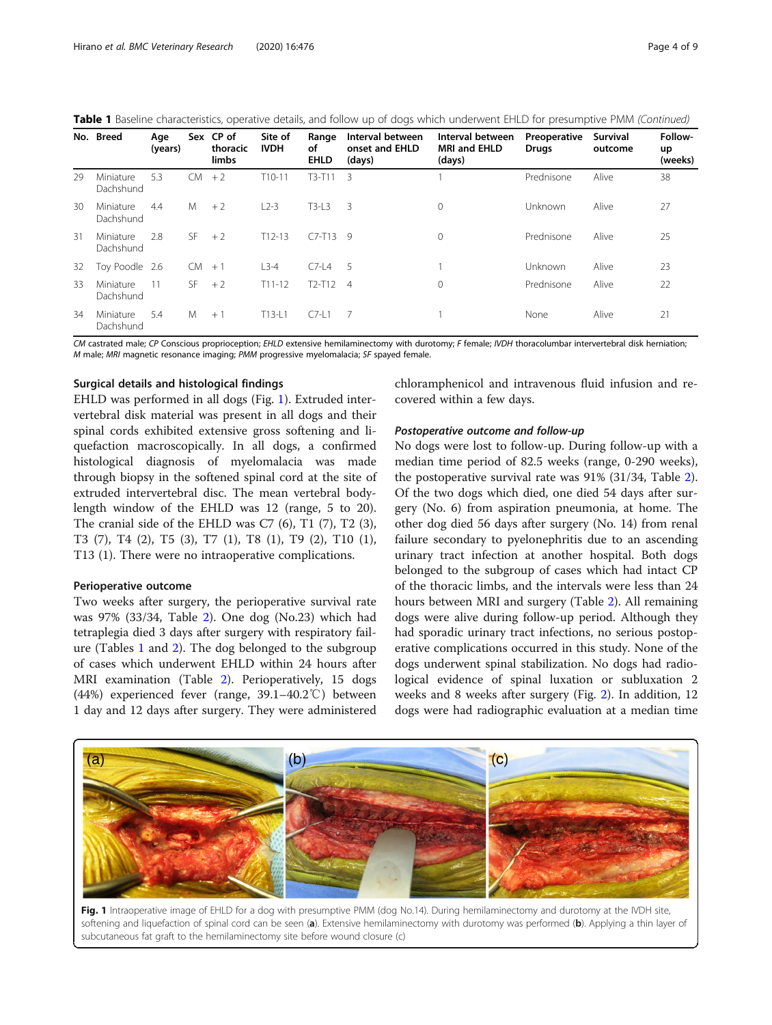<span id="page-3-0"></span>

| Table 1 Baseline characteristics, operative details, and follow up of dogs which underwent EHLD for presumptive PMM (Continued) |
|---------------------------------------------------------------------------------------------------------------------------------|
|---------------------------------------------------------------------------------------------------------------------------------|

|    | No. Breed              | Age<br>(years) |           | Sex CP of<br>thoracic<br>limbs | Site of<br><b>IVDH</b> | Range<br>of<br><b>EHLD</b> | Interval between<br>onset and EHLD<br>(days) | Interval between<br>MRI and EHLD<br>(days) | Preoperative<br>Drugs | Survival<br>outcome | Follow-<br>up<br>(weeks) |
|----|------------------------|----------------|-----------|--------------------------------|------------------------|----------------------------|----------------------------------------------|--------------------------------------------|-----------------------|---------------------|--------------------------|
| 29 | Miniature<br>Dachshund | 5.3            | CM.       | $+2$                           | $T10-11$               | $T3-T11$                   | 3                                            |                                            | Prednisone            | Alive               | 38                       |
| 30 | Miniature<br>Dachshund | 4.4            | M         | $+2$                           | $L2-3$                 | $T3-13$                    | 3                                            | $\mathbf 0$                                | Unknown               | Alive               | 27                       |
| 31 | Miniature<br>Dachshund | 2.8            | <b>SF</b> | $+2$                           | $T12-13$               | $C7-T13$ 9                 |                                              | $\mathbf 0$                                | Prednisone            | Alive               | 25                       |
| 32 | Toy Poodle 2.6         |                | <b>CM</b> | $+1$                           | $L3-4$                 | $C7-L4$                    | - 5                                          |                                            | Unknown               | Alive               | 23                       |
| 33 | Miniature<br>Dachshund | 11             | SF.       | $+2$                           | $T11 - 12$             | $T2-T12$ 4                 |                                              | 0                                          | Prednisone            | Alive               | 22                       |
| 34 | Miniature<br>Dachshund | 5.4            | M         | $+1$                           | $T13-L1$               | $C$ 7-11                   |                                              |                                            | None                  | Alive               | 21                       |

CM castrated male; CP Conscious proprioception; EHLD extensive hemilaminectomy with durotomy; F female; IVDH thoracolumbar intervertebral disk herniation; M male; MRI magnetic resonance imaging; PMM progressive myelomalacia; SF spayed female.

# Surgical details and histological findings

EHLD was performed in all dogs (Fig. 1). Extruded intervertebral disk material was present in all dogs and their spinal cords exhibited extensive gross softening and liquefaction macroscopically. In all dogs, a confirmed histological diagnosis of myelomalacia was made through biopsy in the softened spinal cord at the site of extruded intervertebral disc. The mean vertebral bodylength window of the EHLD was 12 (range, 5 to 20). The cranial side of the EHLD was C7 (6), T1 (7), T2 (3), T3 (7), T4 (2), T5 (3), T7 (1), T8 (1), T9 (2), T10 (1), T13 (1). There were no intraoperative complications.

# Perioperative outcome

Two weeks after surgery, the perioperative survival rate was 97% (33/34, Table [2\)](#page-4-0). One dog (No.23) which had tetraplegia died 3 days after surgery with respiratory failure (Tables [1](#page-2-0) and [2\)](#page-4-0). The dog belonged to the subgroup of cases which underwent EHLD within 24 hours after MRI examination (Table [2](#page-4-0)). Perioperatively, 15 dogs (44%) experienced fever (range, 39.1–40.2℃) between 1 day and 12 days after surgery. They were administered chloramphenicol and intravenous fluid infusion and recovered within a few days.

# Postoperative outcome and follow-up

No dogs were lost to follow-up. During follow-up with a median time period of 82.5 weeks (range, 0-290 weeks), the postoperative survival rate was 91% (31/34, Table [2](#page-4-0)). Of the two dogs which died, one died 54 days after surgery (No. 6) from aspiration pneumonia, at home. The other dog died 56 days after surgery (No. 14) from renal failure secondary to pyelonephritis due to an ascending urinary tract infection at another hospital. Both dogs belonged to the subgroup of cases which had intact CP of the thoracic limbs, and the intervals were less than 24 hours between MRI and surgery (Table [2\)](#page-4-0). All remaining dogs were alive during follow-up period. Although they had sporadic urinary tract infections, no serious postoperative complications occurred in this study. None of the dogs underwent spinal stabilization. No dogs had radiological evidence of spinal luxation or subluxation 2 weeks and 8 weeks after surgery (Fig. [2\)](#page-4-0). In addition, 12 dogs were had radiographic evaluation at a median time



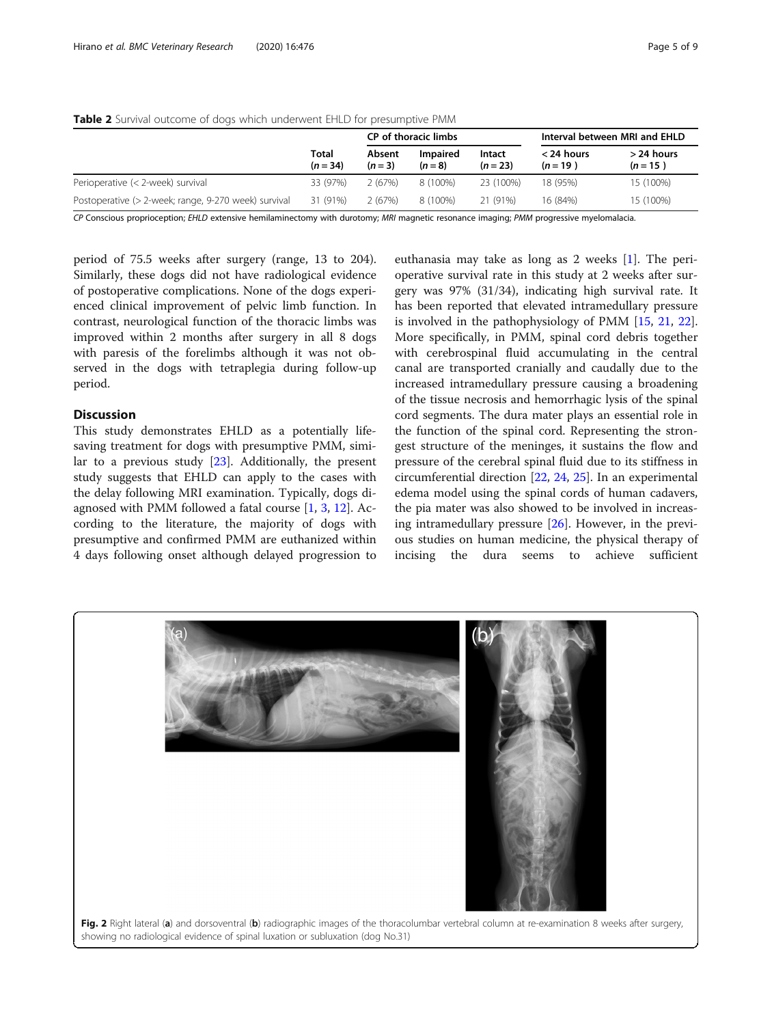|                                                      |                     |                   | CP of thoracic limbs |                      | Interval between MRI and EHLD |                            |  |
|------------------------------------------------------|---------------------|-------------------|----------------------|----------------------|-------------------------------|----------------------------|--|
|                                                      | Total<br>$(n = 34)$ | Absent<br>$(n=3)$ | Impaired<br>$(n=8)$  | Intact<br>$(n = 23)$ | $<$ 24 hours<br>$(n = 19)$    | $>$ 24 hours<br>$(n = 15)$ |  |
| Perioperative (< 2-week) survival                    | 33 (97%)            | 2(67%)            | 8 (100%)             | 23 (100%)            | 18 (95%)                      | 15 (100%)                  |  |
| Postoperative (> 2-week; range, 9-270 week) survival | 31 (91%)            | 2(67%)            | 8 (100%)             | 21 (91%)             | 16 (84%)                      | 15 (100%)                  |  |

<span id="page-4-0"></span>Table 2 Survival outcome of dogs which underwent EHLD for presumptive PMM

CP Conscious proprioception; EHLD extensive hemilaminectomy with durotomy; MRI magnetic resonance imaging; PMM progressive myelomalacia.

period of 75.5 weeks after surgery (range, 13 to 204). Similarly, these dogs did not have radiological evidence of postoperative complications. None of the dogs experienced clinical improvement of pelvic limb function. In contrast, neurological function of the thoracic limbs was improved within 2 months after surgery in all 8 dogs with paresis of the forelimbs although it was not observed in the dogs with tetraplegia during follow-up period.

# Discussion

This study demonstrates EHLD as a potentially lifesaving treatment for dogs with presumptive PMM, similar to a previous study [[23\]](#page-8-0). Additionally, the present study suggests that EHLD can apply to the cases with the delay following MRI examination. Typically, dogs diagnosed with PMM followed a fatal course [[1,](#page-8-0) [3,](#page-8-0) [12](#page-8-0)]. According to the literature, the majority of dogs with presumptive and confirmed PMM are euthanized within 4 days following onset although delayed progression to

euthanasia may take as long as 2 weeks [[1\]](#page-8-0). The perioperative survival rate in this study at 2 weeks after surgery was 97% (31/34), indicating high survival rate. It has been reported that elevated intramedullary pressure is involved in the pathophysiology of PMM [\[15](#page-8-0), [21,](#page-8-0) [22](#page-8-0)]. More specifically, in PMM, spinal cord debris together with cerebrospinal fluid accumulating in the central canal are transported cranially and caudally due to the increased intramedullary pressure causing a broadening of the tissue necrosis and hemorrhagic lysis of the spinal cord segments. The dura mater plays an essential role in the function of the spinal cord. Representing the strongest structure of the meninges, it sustains the flow and pressure of the cerebral spinal fluid due to its stiffness in circumferential direction [\[22](#page-8-0), [24](#page-8-0), [25](#page-8-0)]. In an experimental edema model using the spinal cords of human cadavers, the pia mater was also showed to be involved in increasing intramedullary pressure [[26](#page-8-0)]. However, in the previous studies on human medicine, the physical therapy of incising the dura seems to achieve sufficient

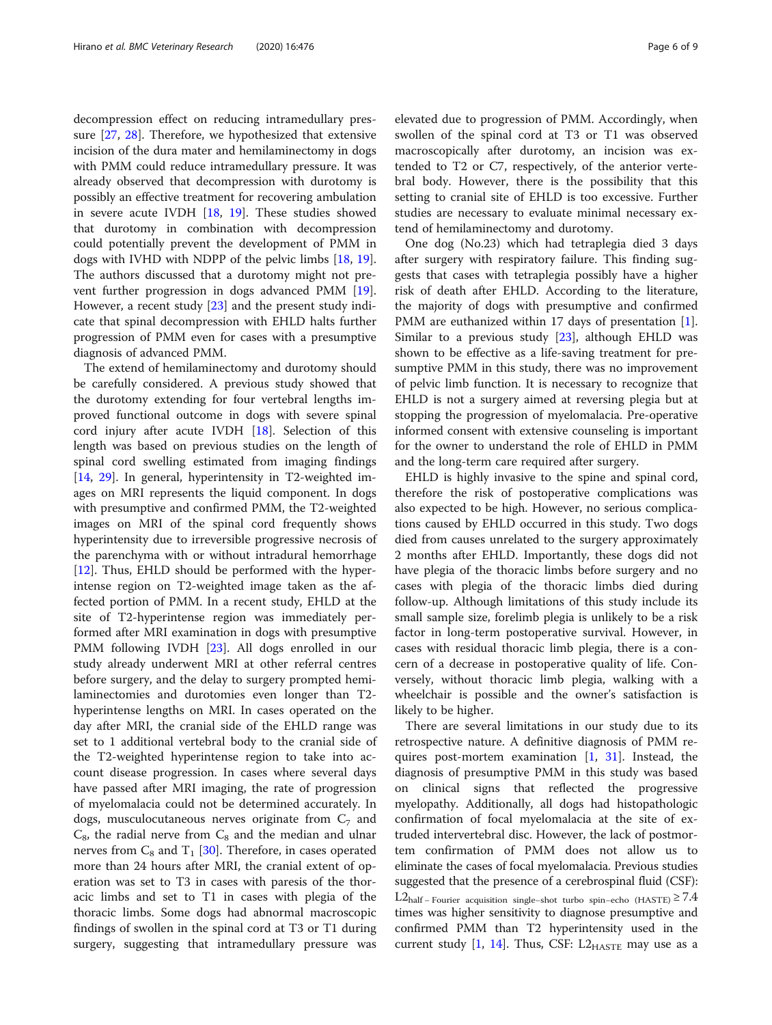decompression effect on reducing intramedullary pressure [[27,](#page-8-0) [28](#page-8-0)]. Therefore, we hypothesized that extensive incision of the dura mater and hemilaminectomy in dogs with PMM could reduce intramedullary pressure. It was already observed that decompression with durotomy is possibly an effective treatment for recovering ambulation in severe acute IVDH [[18,](#page-8-0) [19\]](#page-8-0). These studies showed that durotomy in combination with decompression could potentially prevent the development of PMM in dogs with IVHD with NDPP of the pelvic limbs [\[18](#page-8-0), [19](#page-8-0)]. The authors discussed that a durotomy might not prevent further progression in dogs advanced PMM [\[19](#page-8-0)]. However, a recent study [[23\]](#page-8-0) and the present study indicate that spinal decompression with EHLD halts further progression of PMM even for cases with a presumptive diagnosis of advanced PMM.

The extend of hemilaminectomy and durotomy should be carefully considered. A previous study showed that the durotomy extending for four vertebral lengths improved functional outcome in dogs with severe spinal cord injury after acute IVDH [\[18](#page-8-0)]. Selection of this length was based on previous studies on the length of spinal cord swelling estimated from imaging findings [[14,](#page-8-0) [29](#page-8-0)]. In general, hyperintensity in T2-weighted images on MRI represents the liquid component. In dogs with presumptive and confirmed PMM, the T2-weighted images on MRI of the spinal cord frequently shows hyperintensity due to irreversible progressive necrosis of the parenchyma with or without intradural hemorrhage [[12\]](#page-8-0). Thus, EHLD should be performed with the hyperintense region on T2-weighted image taken as the affected portion of PMM. In a recent study, EHLD at the site of T2-hyperintense region was immediately performed after MRI examination in dogs with presumptive PMM following IVDH [\[23](#page-8-0)]. All dogs enrolled in our study already underwent MRI at other referral centres before surgery, and the delay to surgery prompted hemilaminectomies and durotomies even longer than T2 hyperintense lengths on MRI. In cases operated on the day after MRI, the cranial side of the EHLD range was set to 1 additional vertebral body to the cranial side of the T2-weighted hyperintense region to take into account disease progression. In cases where several days have passed after MRI imaging, the rate of progression of myelomalacia could not be determined accurately. In dogs, musculocutaneous nerves originate from  $C_7$  and  $C_8$ , the radial nerve from  $C_8$  and the median and ulnar nerves from  $C_8$  and  $T_1$  [[30](#page-8-0)]. Therefore, in cases operated more than 24 hours after MRI, the cranial extent of operation was set to T3 in cases with paresis of the thoracic limbs and set to T1 in cases with plegia of the thoracic limbs. Some dogs had abnormal macroscopic findings of swollen in the spinal cord at T3 or T1 during surgery, suggesting that intramedullary pressure was

elevated due to progression of PMM. Accordingly, when swollen of the spinal cord at T3 or T1 was observed macroscopically after durotomy, an incision was extended to T2 or C7, respectively, of the anterior vertebral body. However, there is the possibility that this setting to cranial site of EHLD is too excessive. Further studies are necessary to evaluate minimal necessary extend of hemilaminectomy and durotomy.

One dog (No.23) which had tetraplegia died 3 days after surgery with respiratory failure. This finding suggests that cases with tetraplegia possibly have a higher risk of death after EHLD. According to the literature, the majority of dogs with presumptive and confirmed PMM are euthanized within 17 days of presentation [\[1](#page-8-0)]. Similar to a previous study  $[23]$  $[23]$ , although EHLD was shown to be effective as a life-saving treatment for presumptive PMM in this study, there was no improvement of pelvic limb function. It is necessary to recognize that EHLD is not a surgery aimed at reversing plegia but at stopping the progression of myelomalacia. Pre-operative informed consent with extensive counseling is important for the owner to understand the role of EHLD in PMM and the long-term care required after surgery.

EHLD is highly invasive to the spine and spinal cord, therefore the risk of postoperative complications was also expected to be high. However, no serious complications caused by EHLD occurred in this study. Two dogs died from causes unrelated to the surgery approximately 2 months after EHLD. Importantly, these dogs did not have plegia of the thoracic limbs before surgery and no cases with plegia of the thoracic limbs died during follow-up. Although limitations of this study include its small sample size, forelimb plegia is unlikely to be a risk factor in long-term postoperative survival. However, in cases with residual thoracic limb plegia, there is a concern of a decrease in postoperative quality of life. Conversely, without thoracic limb plegia, walking with a wheelchair is possible and the owner's satisfaction is likely to be higher.

There are several limitations in our study due to its retrospective nature. A definitive diagnosis of PMM requires post-mortem examination [\[1](#page-8-0), [31\]](#page-8-0). Instead, the diagnosis of presumptive PMM in this study was based on clinical signs that reflected the progressive myelopathy. Additionally, all dogs had histopathologic confirmation of focal myelomalacia at the site of extruded intervertebral disc. However, the lack of postmortem confirmation of PMM does not allow us to eliminate the cases of focal myelomalacia. Previous studies suggested that the presence of a cerebrospinal fluid (CSF):  $L2_{\text{half}-\text{Fourier}}$  acquisition single–shot turbo spin–echo (HASTE) ≥  $7.4$ times was higher sensitivity to diagnose presumptive and confirmed PMM than T2 hyperintensity used in the current study [\[1,](#page-8-0) [14\]](#page-8-0). Thus, CSF:  $L2_{\text{HASTE}}$  may use as a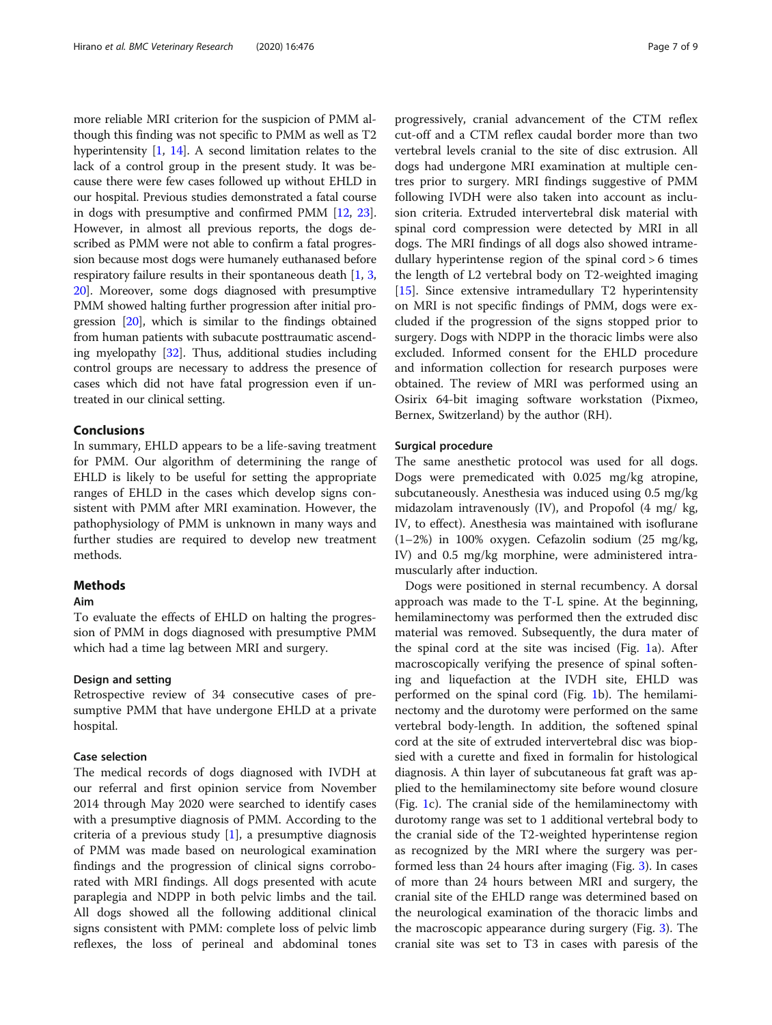more reliable MRI criterion for the suspicion of PMM although this finding was not specific to PMM as well as T2 hyperintensity [\[1](#page-8-0), [14](#page-8-0)]. A second limitation relates to the lack of a control group in the present study. It was because there were few cases followed up without EHLD in our hospital. Previous studies demonstrated a fatal course in dogs with presumptive and confirmed PMM [\[12,](#page-8-0) [23](#page-8-0)]. However, in almost all previous reports, the dogs described as PMM were not able to confirm a fatal progression because most dogs were humanely euthanased before respiratory failure results in their spontaneous death [[1,](#page-8-0) [3](#page-8-0), [20](#page-8-0)]. Moreover, some dogs diagnosed with presumptive PMM showed halting further progression after initial progression [\[20\]](#page-8-0), which is similar to the findings obtained from human patients with subacute posttraumatic ascending myelopathy [\[32](#page-8-0)]. Thus, additional studies including control groups are necessary to address the presence of cases which did not have fatal progression even if untreated in our clinical setting.

# Conclusions

In summary, EHLD appears to be a life-saving treatment for PMM. Our algorithm of determining the range of EHLD is likely to be useful for setting the appropriate ranges of EHLD in the cases which develop signs consistent with PMM after MRI examination. However, the pathophysiology of PMM is unknown in many ways and further studies are required to develop new treatment methods.

# **Methods**

#### Aim

To evaluate the effects of EHLD on halting the progression of PMM in dogs diagnosed with presumptive PMM which had a time lag between MRI and surgery.

### Design and setting

Retrospective review of 34 consecutive cases of presumptive PMM that have undergone EHLD at a private hospital.

#### Case selection

The medical records of dogs diagnosed with IVDH at our referral and first opinion service from November 2014 through May 2020 were searched to identify cases with a presumptive diagnosis of PMM. According to the criteria of a previous study  $[1]$  $[1]$  $[1]$ , a presumptive diagnosis of PMM was made based on neurological examination findings and the progression of clinical signs corroborated with MRI findings. All dogs presented with acute paraplegia and NDPP in both pelvic limbs and the tail. All dogs showed all the following additional clinical signs consistent with PMM: complete loss of pelvic limb reflexes, the loss of perineal and abdominal tones progressively, cranial advancement of the CTM reflex cut-off and a CTM reflex caudal border more than two vertebral levels cranial to the site of disc extrusion. All dogs had undergone MRI examination at multiple centres prior to surgery. MRI findings suggestive of PMM following IVDH were also taken into account as inclusion criteria. Extruded intervertebral disk material with spinal cord compression were detected by MRI in all dogs. The MRI findings of all dogs also showed intramedullary hyperintense region of the spinal cord > 6 times the length of L2 vertebral body on T2-weighted imaging [[15\]](#page-8-0). Since extensive intramedullary T2 hyperintensity on MRI is not specific findings of PMM, dogs were excluded if the progression of the signs stopped prior to surgery. Dogs with NDPP in the thoracic limbs were also excluded. Informed consent for the EHLD procedure and information collection for research purposes were obtained. The review of MRI was performed using an Osirix 64-bit imaging software workstation (Pixmeo, Bernex, Switzerland) by the author (RH).

# Surgical procedure

The same anesthetic protocol was used for all dogs. Dogs were premedicated with 0.025 mg/kg atropine, subcutaneously. Anesthesia was induced using 0.5 mg/kg midazolam intravenously (IV), and Propofol (4 mg/ kg, IV, to effect). Anesthesia was maintained with isoflurane (1–2%) in 100% oxygen. Cefazolin sodium (25 mg/kg, IV) and 0.5 mg/kg morphine, were administered intramuscularly after induction.

Dogs were positioned in sternal recumbency. A dorsal approach was made to the T-L spine. At the beginning, hemilaminectomy was performed then the extruded disc material was removed. Subsequently, the dura mater of the spinal cord at the site was incised (Fig. [1](#page-3-0)a). After macroscopically verifying the presence of spinal softening and liquefaction at the IVDH site, EHLD was performed on the spinal cord (Fig. [1b](#page-3-0)). The hemilaminectomy and the durotomy were performed on the same vertebral body-length. In addition, the softened spinal cord at the site of extruded intervertebral disc was biopsied with a curette and fixed in formalin for histological diagnosis. A thin layer of subcutaneous fat graft was applied to the hemilaminectomy site before wound closure (Fig. [1](#page-3-0)c). The cranial side of the hemilaminectomy with durotomy range was set to 1 additional vertebral body to the cranial side of the T2-weighted hyperintense region as recognized by the MRI where the surgery was performed less than 24 hours after imaging (Fig. [3\)](#page-7-0). In cases of more than 24 hours between MRI and surgery, the cranial site of the EHLD range was determined based on the neurological examination of the thoracic limbs and the macroscopic appearance during surgery (Fig. [3\)](#page-7-0). The cranial site was set to T3 in cases with paresis of the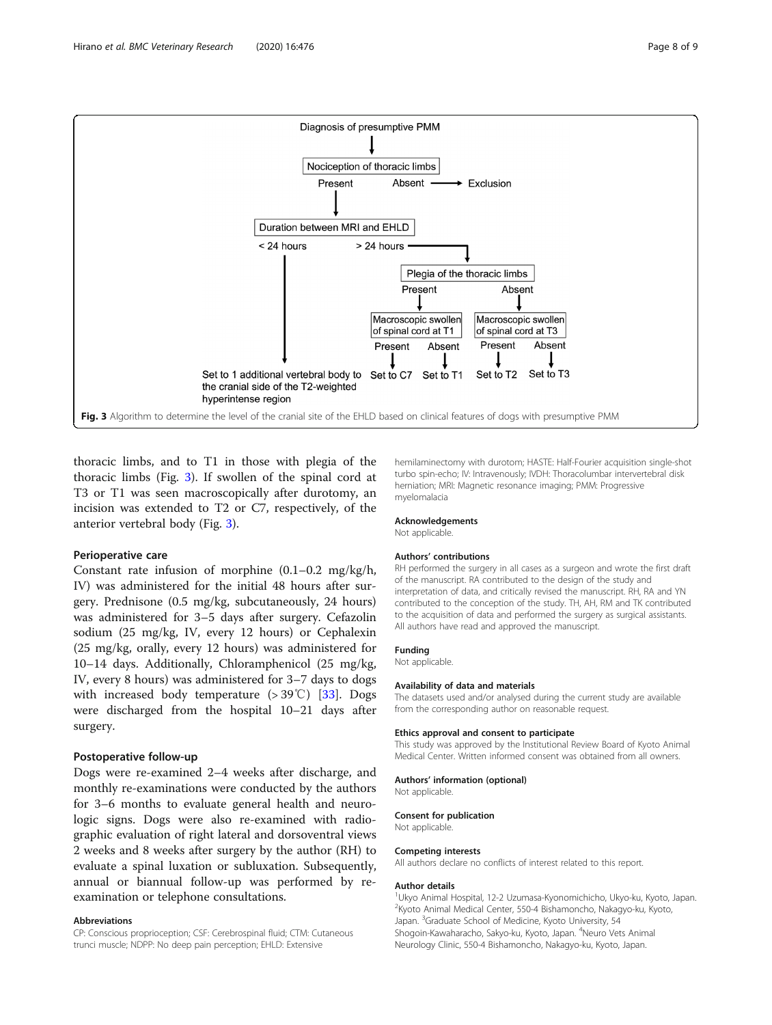<span id="page-7-0"></span>

thoracic limbs, and to T1 in those with plegia of the thoracic limbs (Fig. 3). If swollen of the spinal cord at T3 or T1 was seen macroscopically after durotomy, an incision was extended to T2 or C7, respectively, of the anterior vertebral body (Fig. 3).

#### Perioperative care

Constant rate infusion of morphine  $(0.1-0.2 \text{ mg/kg/h})$ , IV) was administered for the initial 48 hours after surgery. Prednisone (0.5 mg/kg, subcutaneously, 24 hours) was administered for 3–5 days after surgery. Cefazolin sodium (25 mg/kg, IV, every 12 hours) or Cephalexin (25 mg/kg, orally, every 12 hours) was administered for 10–14 days. Additionally, Chloramphenicol (25 mg/kg, IV, every 8 hours) was administered for 3–7 days to dogs with increased body temperature (> 39℃) [[33\]](#page-8-0). Dogs were discharged from the hospital 10–21 days after surgery.

#### Postoperative follow-up

Dogs were re-examined 2–4 weeks after discharge, and monthly re-examinations were conducted by the authors for 3–6 months to evaluate general health and neurologic signs. Dogs were also re-examined with radiographic evaluation of right lateral and dorsoventral views 2 weeks and 8 weeks after surgery by the author (RH) to evaluate a spinal luxation or subluxation. Subsequently, annual or biannual follow-up was performed by reexamination or telephone consultations.

#### Abbreviations

CP: Conscious proprioception; CSF: Cerebrospinal fluid; CTM: Cutaneous trunci muscle; NDPP: No deep pain perception; EHLD: Extensive

hemilaminectomy with durotom; HASTE: Half-Fourier acquisition single-shot turbo spin-echo; IV: Intravenously; IVDH: Thoracolumbar intervertebral disk herniation; MRI: Magnetic resonance imaging; PMM: Progressive myelomalacia

#### Acknowledgements

Not applicable.

#### Authors' contributions

RH performed the surgery in all cases as a surgeon and wrote the first draft of the manuscript. RA contributed to the design of the study and interpretation of data, and critically revised the manuscript. RH, RA and YN contributed to the conception of the study. TH, AH, RM and TK contributed to the acquisition of data and performed the surgery as surgical assistants. All authors have read and approved the manuscript.

#### Funding

Not applicable.

#### Availability of data and materials

The datasets used and/or analysed during the current study are available from the corresponding author on reasonable request.

#### Ethics approval and consent to participate

This study was approved by the Institutional Review Board of Kyoto Animal Medical Center. Written informed consent was obtained from all owners.

#### Authors' information (optional)

Not applicable.

#### Consent for publication

Not applicable.

#### Competing interests

All authors declare no conflicts of interest related to this report.

#### Author details

<sup>1</sup>Ukyo Animal Hospital, 12-2 Uzumasa-Kyonomichicho, Ukyo-ku, Kyoto, Japan. 2 Kyoto Animal Medical Center, 550-4 Bishamoncho, Nakagyo-ku, Kyoto, Japan. <sup>3</sup>Graduate School of Medicine, Kyoto University, 54 Shogoin-Kawaharacho, Sakyo-ku, Kyoto, Japan. <sup>4</sup>Neuro Vets Animal Neurology Clinic, 550-4 Bishamoncho, Nakagyo-ku, Kyoto, Japan.